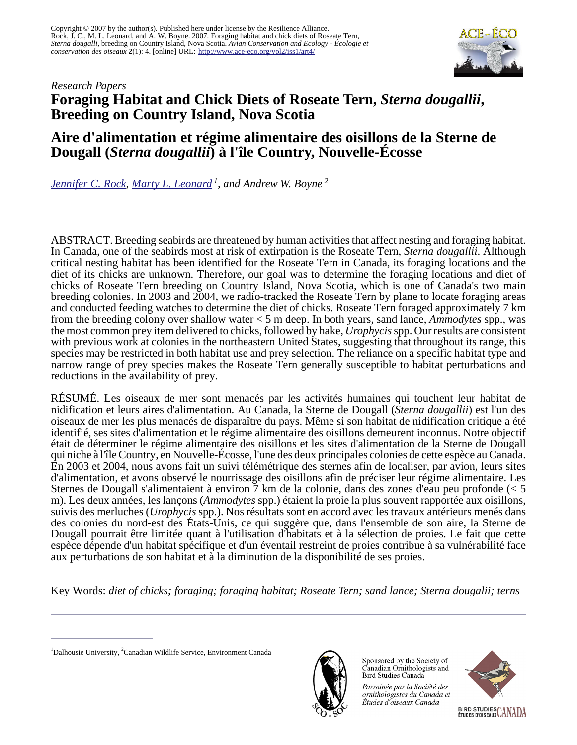

# *Research Papers* **Foraging Habitat and Chick Diets of Roseate Tern,** *Sterna dougallii***, Breeding on Country Island, Nova Scotia**

# **Aire d'alimentation et régime alimentaire des oisillons de la Sterne de Dougall (***Sterna dougallii***) à l'île Country, Nouvelle-Écosse**

*[Jennifer C. Rock,](mailto:jen.c.rock@gmail.com) [Marty L. Leonard](mailto:mleonard@dal.ca)<sup>1</sup>, and Andrew W. Boyne<sup>2</sup>*

ABSTRACT. Breeding seabirds are threatened by human activities that affect nesting and foraging habitat. In Canada, one of the seabirds most at risk of extirpation is the Roseate Tern, *Sterna dougallii*. Although critical nesting habitat has been identified for the Roseate Tern in Canada, its foraging locations and the diet of its chicks are unknown. Therefore, our goal was to determine the foraging locations and diet of chicks of Roseate Tern breeding on Country Island, Nova Scotia, which is one of Canada's two main breeding colonies. In 2003 and 2004, we radio-tracked the Roseate Tern by plane to locate foraging areas and conducted feeding watches to determine the diet of chicks. Roseate Tern foraged approximately 7 km from the breeding colony over shallow water < 5 m deep. In both years, sand lance, *Ammodytes* spp., was the most common prey item delivered to chicks, followed by hake, *Urophycis* spp. Our results are consistent with previous work at colonies in the northeastern United States, suggesting that throughout its range, this species may be restricted in both habitat use and prey selection. The reliance on a specific habitat type and narrow range of prey species makes the Roseate Tern generally susceptible to habitat perturbations and reductions in the availability of prey.

RÉSUMÉ. Les oiseaux de mer sont menacés par les activités humaines qui touchent leur habitat de nidification et leurs aires d'alimentation. Au Canada, la Sterne de Dougall (*Sterna dougallii*) est l'un des oiseaux de mer les plus menacés de disparaître du pays. Même si son habitat de nidification critique a été identifié, ses sites d'alimentation et le régime alimentaire des oisillons demeurent inconnus. Notre objectif était de déterminer le régime alimentaire des oisillons et les sites d'alimentation de la Sterne de Dougall qui niche à l'île Country, en Nouvelle-Écosse, l'une des deux principales colonies de cette espèce au Canada. En 2003 et 2004, nous avons fait un suivi télémétrique des sternes afin de localiser, par avion, leurs sites d'alimentation, et avons observé le nourrissage des oisillons afin de préciser leur régime alimentaire. Les Sternes de Dougall s'alimentaient à environ 7 km de la colonie, dans des zones d'eau peu profonde (< 5 m). Les deux années, les lançons (*Ammodytes* spp.) étaient la proie la plus souvent rapportée aux oisillons, suivis des merluches (*Urophycis* spp.). Nos résultats sont en accord avec les travaux antérieurs menés dans des colonies du nord-est des États-Unis, ce qui suggère que, dans l'ensemble de son aire, la Sterne de Dougall pourrait être limitée quant à l'utilisation d'habitats et à la sélection de proies. Le fait que cette espèce dépende d'un habitat spécifique et d'un éventail restreint de proies contribue à sa vulnérabilité face aux perturbations de son habitat et à la diminution de la disponibilité de ses proies.

Key Words: *diet of chicks; foraging; foraging habitat; Roseate Tern; sand lance; Sterna dougalii; terns*

<sup>&</sup>lt;sup>1</sup>Dalhousie University, <sup>2</sup>Canadian Wildlife Service, Environment Canada



Sponsored by the Society of Canadian Ornithologists and Bird Studies Canada

Parrainée par la Société des ornithologistes du Canada et Études d'oiseaux Canada

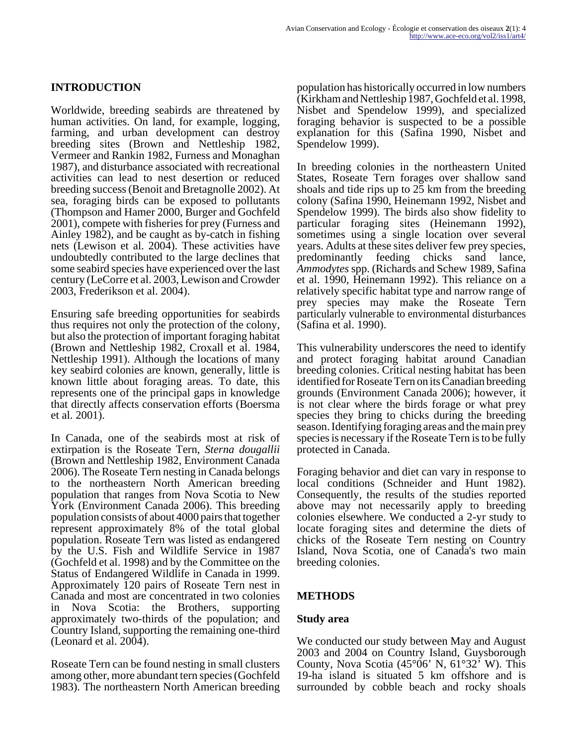## **INTRODUCTION**

Worldwide, breeding seabirds are threatened by human activities. On land, for example, logging, farming, and urban development can destroy breeding sites (Brown and Nettleship 1982, Vermeer and Rankin 1982, Furness and Monaghan 1987), and disturbance associated with recreational activities can lead to nest desertion or reduced breeding success (Benoit and Bretagnolle 2002). At sea, foraging birds can be exposed to pollutants (Thompson and Hamer 2000, Burger and Gochfeld 2001), compete with fisheries for prey (Furness and Ainley 1982), and be caught as by-catch in fishing nets (Lewison et al. 2004). These activities have undoubtedly contributed to the large declines that some seabird species have experienced over the last century (LeCorre et al. 2003, Lewison and Crowder 2003, Frederikson et al. 2004).

Ensuring safe breeding opportunities for seabirds thus requires not only the protection of the colony, but also the protection of important foraging habitat (Brown and Nettleship 1982, Croxall et al. 1984, Nettleship 1991). Although the locations of many key seabird colonies are known, generally, little is known little about foraging areas. To date, this represents one of the principal gaps in knowledge that directly affects conservation efforts (Boersma et al. 2001).

In Canada, one of the seabirds most at risk of extirpation is the Roseate Tern, *Sterna dougallii* (Brown and Nettleship 1982, Environment Canada 2006). The Roseate Tern nesting in Canada belongs to the northeastern North American breeding population that ranges from Nova Scotia to New York (Environment Canada 2006). This breeding population consists of about 4000 pairs that together represent approximately 8% of the total global population. Roseate Tern was listed as endangered by the U.S. Fish and Wildlife Service in 1987 (Gochfeld et al. 1998) and by the Committee on the Status of Endangered Wildlife in Canada in 1999. Approximately 120 pairs of Roseate Tern nest in Canada and most are concentrated in two colonies in Nova Scotia: the Brothers, supporting approximately two-thirds of the population; and Country Island, supporting the remaining one-third (Leonard et al. 2004).

Roseate Tern can be found nesting in small clusters among other, more abundant tern species (Gochfeld 1983). The northeastern North American breeding population has historically occurred in low numbers (Kirkham and Nettleship 1987, Gochfeld et al. 1998, Nisbet and Spendelow 1999), and specialized foraging behavior is suspected to be a possible explanation for this (Safina 1990, Nisbet and Spendelow 1999).

In breeding colonies in the northeastern United States, Roseate Tern forages over shallow sand shoals and tide rips up to  $25 \text{ km}$  from the breeding colony (Safina 1990, Heinemann 1992, Nisbet and Spendelow 1999). The birds also show fidelity to particular foraging sites (Heinemann 1992), sometimes using a single location over several years. Adults at these sites deliver few prey species, predominantly feeding chicks sand lance, *Ammodytes* spp. (Richards and Schew 1989, Safina et al. 1990, Heinemann 1992). This reliance on a relatively specific habitat type and narrow range of prey species may make the Roseate Tern particularly vulnerable to environmental disturbances (Safina et al. 1990).

This vulnerability underscores the need to identify and protect foraging habitat around Canadian breeding colonies. Critical nesting habitat has been identified for Roseate Tern on its Canadian breeding grounds (Environment Canada 2006); however, it is not clear where the birds forage or what prey species they bring to chicks during the breeding season. Identifying foraging areas and the main prey species is necessary if the Roseate Tern is to be fully protected in Canada.

Foraging behavior and diet can vary in response to local conditions (Schneider and Hunt 1982). Consequently, the results of the studies reported above may not necessarily apply to breeding colonies elsewhere. We conducted a 2-yr study to locate foraging sites and determine the diets of chicks of the Roseate Tern nesting on Country Island, Nova Scotia, one of Canada's two main breeding colonies.

#### **METHODS**

#### **Study area**

We conducted our study between May and August 2003 and 2004 on Country Island, Guysborough County, Nova Scotia  $(45^{\circ}06^{\circ} N, 61^{\circ}32^{\circ} W)$ . This 19-ha island is situated 5 km offshore and is surrounded by cobble beach and rocky shoals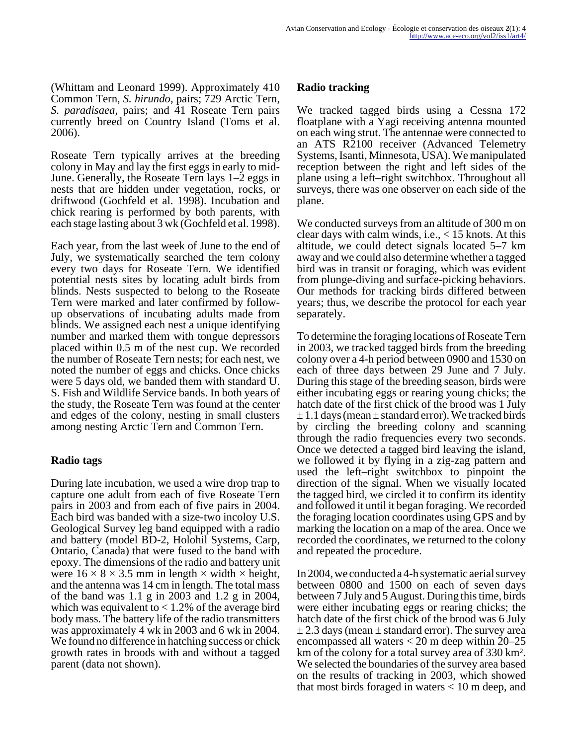(Whittam and Leonard 1999). Approximately 410 Common Tern, *S. hirundo*, pairs; 729 Arctic Tern, *S. paradisaea*, pairs; and 41 Roseate Tern pairs currently breed on Country Island (Toms et al. 2006).

Roseate Tern typically arrives at the breeding colony in May and lay the first eggs in early to mid-June. Generally, the Roseate Tern lays 1–2 eggs in nests that are hidden under vegetation, rocks, or driftwood (Gochfeld et al. 1998). Incubation and chick rearing is performed by both parents, with each stage lasting about 3 wk (Gochfeld et al. 1998).

Each year, from the last week of June to the end of July, we systematically searched the tern colony every two days for Roseate Tern. We identified potential nests sites by locating adult birds from blinds. Nests suspected to belong to the Roseate Tern were marked and later confirmed by followup observations of incubating adults made from blinds. We assigned each nest a unique identifying number and marked them with tongue depressors placed within 0.5 m of the nest cup. We recorded the number of Roseate Tern nests; for each nest, we noted the number of eggs and chicks. Once chicks were 5 days old, we banded them with standard U. S. Fish and Wildlife Service bands. In both years of the study, the Roseate Tern was found at the center and edges of the colony, nesting in small clusters among nesting Arctic Tern and Common Tern.

## **Radio tags**

During late incubation, we used a wire drop trap to capture one adult from each of five Roseate Tern pairs in 2003 and from each of five pairs in 2004. Each bird was banded with a size-two incoloy U.S. Geological Survey leg band equipped with a radio and battery (model BD-2, Holohil Systems, Carp, Ontario, Canada) that were fused to the band with epoxy. The dimensions of the radio and battery unit were  $16 \times 8 \times 3.5$  mm in length  $\times$  width  $\times$  height, and the antenna was 14 cm in length. The total mass of the band was 1.1 g in 2003 and 1.2 g in 2004, which was equivalent to  $< 1.2\%$  of the average bird body mass. The battery life of the radio transmitters was approximately 4 wk in 2003 and 6 wk in 2004. We found no difference in hatching success or chick growth rates in broods with and without a tagged parent (data not shown).

#### **Radio tracking**

We tracked tagged birds using a Cessna 172 floatplane with a Yagi receiving antenna mounted on each wing strut. The antennae were connected to an ATS R2100 receiver (Advanced Telemetry Systems, Isanti, Minnesota, USA). We manipulated reception between the right and left sides of the plane using a left–right switchbox. Throughout all surveys, there was one observer on each side of the plane.

We conducted surveys from an altitude of 300 m on clear days with calm winds, i.e., < 15 knots. At this altitude, we could detect signals located 5–7 km away and we could also determine whether a tagged bird was in transit or foraging, which was evident from plunge-diving and surface-picking behaviors. Our methods for tracking birds differed between years; thus, we describe the protocol for each year separately.

To determine the foraging locations of Roseate Tern in 2003, we tracked tagged birds from the breeding colony over a 4-h period between 0900 and 1530 on each of three days between 29 June and 7 July. During this stage of the breeding season, birds were either incubating eggs or rearing young chicks; the hatch date of the first chick of the brood was 1 July  $\pm$  1.1 days (mean  $\pm$  standard error). We tracked birds by circling the breeding colony and scanning through the radio frequencies every two seconds. Once we detected a tagged bird leaving the island, we followed it by flying in a zig-zag pattern and used the left–right switchbox to pinpoint the direction of the signal. When we visually located the tagged bird, we circled it to confirm its identity and followed it until it began foraging. We recorded the foraging location coordinates using GPS and by marking the location on a map of the area. Once we recorded the coordinates, we returned to the colony and repeated the procedure.

In 2004, we conducted a 4-h systematic aerial survey between 0800 and 1500 on each of seven days between 7 July and 5 August. During this time, birds were either incubating eggs or rearing chicks; the hatch date of the first chick of the brood was 6 July  $\pm$  2.3 days (mean  $\pm$  standard error). The survey area encompassed all waters  $<$  20 m deep within 20–25 km of the colony for a total survey area of 330 km². We selected the boundaries of the survey area based on the results of tracking in 2003, which showed that most birds foraged in waters  $< 10$  m deep, and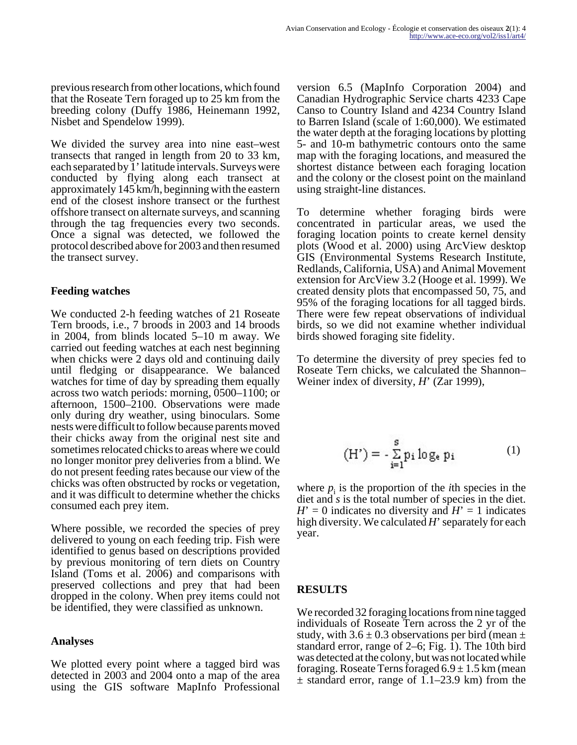previous research from other locations, which found that the Roseate Tern foraged up to 25 km from the breeding colony (Duffy 1986, Heinemann 1992, Nisbet and Spendelow 1999).

We divided the survey area into nine east–west transects that ranged in length from 20 to 33 km, each separated by 1' latitude intervals. Surveys were conducted by flying along each transect at approximately 145 km/h, beginning with the eastern end of the closest inshore transect or the furthest offshore transect on alternate surveys, and scanning through the tag frequencies every two seconds. Once a signal was detected, we followed the protocol described above for 2003 and then resumed the transect survey.

#### **Feeding watches**

We conducted 2-h feeding watches of 21 Roseate Tern broods, i.e., 7 broods in 2003 and 14 broods in 2004, from blinds located 5–10 m away. We carried out feeding watches at each nest beginning when chicks were 2 days old and continuing daily until fledging or disappearance. We balanced watches for time of day by spreading them equally across two watch periods: morning, 0500–1100; or afternoon, 1500–2100. Observations were made only during dry weather, using binoculars. Some nests were difficult to follow because parents moved their chicks away from the original nest site and sometimes relocated chicks to areas where we could no longer monitor prey deliveries from a blind. We do not present feeding rates because our view of the chicks was often obstructed by rocks or vegetation, and it was difficult to determine whether the chicks consumed each prey item.

Where possible, we recorded the species of prey delivered to young on each feeding trip. Fish were identified to genus based on descriptions provided by previous monitoring of tern diets on Country Island (Toms et al. 2006) and comparisons with preserved collections and prey that had been dropped in the colony. When prey items could not be identified, they were classified as unknown.

## **Analyses**

We plotted every point where a tagged bird was detected in 2003 and 2004 onto a map of the area using the GIS software MapInfo Professional version 6.5 (MapInfo Corporation 2004) and Canadian Hydrographic Service charts 4233 Cape Canso to Country Island and 4234 Country Island to Barren Island (scale of 1:60,000). We estimated the water depth at the foraging locations by plotting 5- and 10-m bathymetric contours onto the same map with the foraging locations, and measured the shortest distance between each foraging location and the colony or the closest point on the mainland using straight-line distances.

To determine whether foraging birds were concentrated in particular areas, we used the foraging location points to create kernel density plots (Wood et al. 2000) using ArcView desktop GIS (Environmental Systems Research Institute, Redlands, California, USA) and Animal Movement extension for ArcView 3.2 (Hooge et al. 1999). We created density plots that encompassed 50, 75, and 95% of the foraging locations for all tagged birds. There were few repeat observations of individual birds, so we did not examine whether individual birds showed foraging site fidelity.

To determine the diversity of prey species fed to Roseate Tern chicks, we calculated the Shannon– Weiner index of diversity, *H*' (Zar 1999),

$$
(H') = -\sum_{i=1}^{s} p_i \log_e p_i \tag{1}
$$

where  $p_i$  is the proportion of the *i*th species in the diet and *s* is the total number of species in the diet.  $H' = 0$  indicates no diversity and  $H' = 1$  indicates high diversity. We calculated *H*' separately for each year.

## **RESULTS**

We recorded 32 foraging locations from nine tagged individuals of Roseate Tern across the 2 yr of the study, with  $3.6 \pm 0.3$  observations per bird (mean  $\pm$ standard error, range of  $2-6$ ; Fig. 1). The 10th bird was detected at the colony, but was not located while foraging. Roseate Terns foraged  $6.9 \pm 1.5$  km (mean  $\pm$  standard error, range of 1.1–23.9 km) from the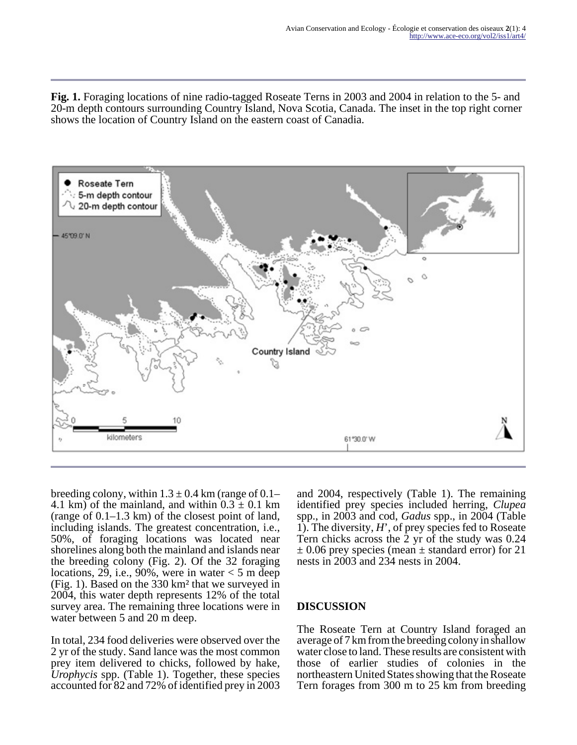**Fig. 1.** Foraging locations of nine radio-tagged Roseate Terns in 2003 and 2004 in relation to the 5- and 20-m depth contours surrounding Country Island, Nova Scotia, Canada. The inset in the top right corner shows the location of Country Island on the eastern coast of Canadia.



breeding colony, within  $1.3 \pm 0.4$  km (range of 0.1– 4.1 km) of the mainland, and within  $0.3 \pm 0.1$  km (range of 0.1–1.3 km) of the closest point of land, including islands. The greatest concentration, i.e., 50%, of foraging locations was located near shorelines along both the mainland and islands near the breeding colony (Fig. 2). Of the 32 foraging locations, 29, i.e., 90%, were in water  $<$  5 m deep (Fig. 1). Based on the 330 km² that we surveyed in 2004, this water depth represents 12% of the total survey area. The remaining three locations were in water between 5 and 20 m deep.

In total, 234 food deliveries were observed over the 2 yr of the study. Sand lance was the most common prey item delivered to chicks, followed by hake, *Urophycis* spp. (Table 1). Together, these species accounted for 82 and 72% of identified prey in 2003

and 2004, respectively (Table 1). The remaining identified prey species included herring, *Clupea* spp., in 2003 and cod, *Gadus* spp., in 2004 (Table 1). The diversity, *H*', of prey species fed to Roseate Tern chicks across the 2 yr of the study was 0.24  $\pm$  0.06 prey species (mean  $\pm$  standard error) for 21 nests in 2003 and 234 nests in 2004.

#### **DISCUSSION**

The Roseate Tern at Country Island foraged an average of 7 km from the breeding colony in shallow water close to land. These results are consistent with those of earlier studies of colonies in the northeastern United States showing that the Roseate Tern forages from 300 m to 25 km from breeding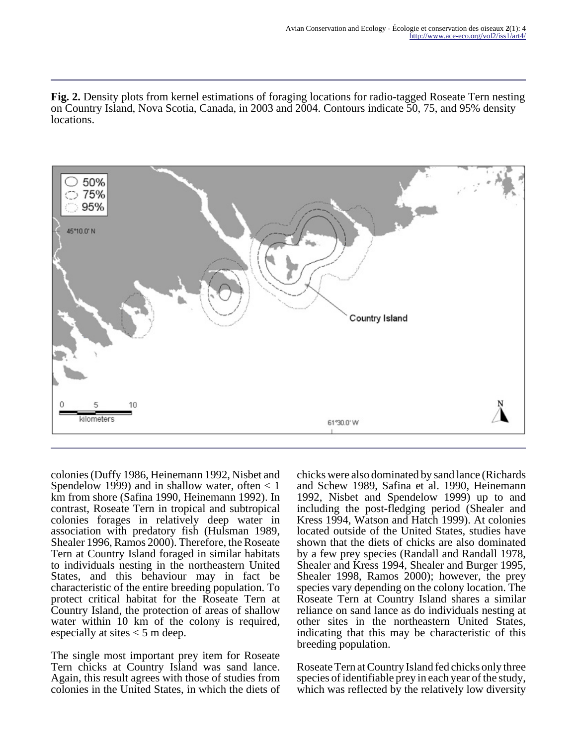**Fig. 2.** Density plots from kernel estimations of foraging locations for radio-tagged Roseate Tern nesting on Country Island, Nova Scotia, Canada, in 2003 and 2004. Contours indicate 50, 75, and 95% density locations.



colonies (Duffy 1986, Heinemann 1992, Nisbet and Spendelow 1999) and in shallow water, often  $< 1$ km from shore (Safina 1990, Heinemann 1992). In contrast, Roseate Tern in tropical and subtropical colonies forages in relatively deep water in association with predatory fish (Hulsman 1989, Shealer 1996, Ramos 2000). Therefore, the Roseate Tern at Country Island foraged in similar habitats to individuals nesting in the northeastern United States, and this behaviour may in fact be characteristic of the entire breeding population. To protect critical habitat for the Roseate Tern at Country Island, the protection of areas of shallow water within 10 km of the colony is required, especially at sites  $< 5$  m deep.

The single most important prey item for Roseate Tern chicks at Country Island was sand lance. Again, this result agrees with those of studies from colonies in the United States, in which the diets of chicks were also dominated by sand lance (Richards and Schew 1989, Safina et al. 1990, Heinemann 1992, Nisbet and Spendelow 1999) up to and including the post-fledging period (Shealer and Kress 1994, Watson and Hatch 1999). At colonies located outside of the United States, studies have shown that the diets of chicks are also dominated by a few prey species (Randall and Randall 1978, Shealer and Kress 1994, Shealer and Burger 1995, Shealer 1998, Ramos 2000); however, the prey species vary depending on the colony location. The Roseate Tern at Country Island shares a similar reliance on sand lance as do individuals nesting at other sites in the northeastern United States, indicating that this may be characteristic of this breeding population.

Roseate Tern at Country Island fed chicks only three species of identifiable prey in each year of the study, which was reflected by the relatively low diversity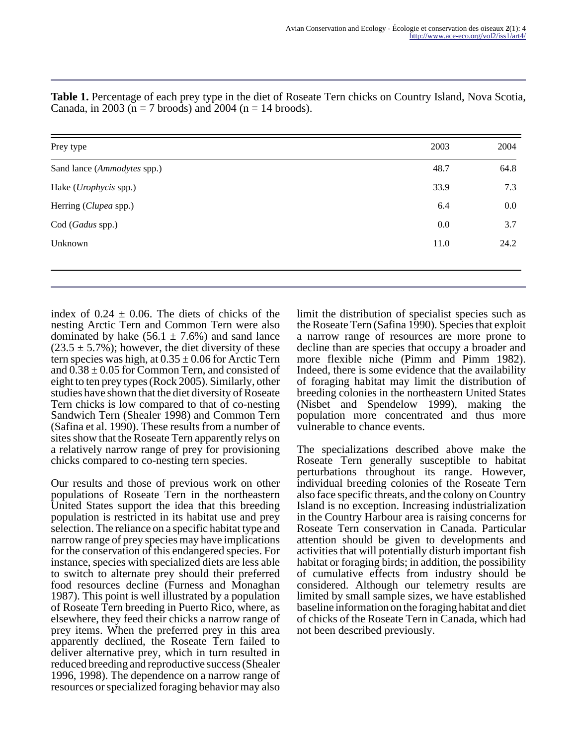| Prey type                     | 2003 | 2004 |
|-------------------------------|------|------|
| Sand lance (Ammodytes spp.)   | 48.7 | 64.8 |
| Hake ( <i>Urophycis</i> spp.) | 33.9 | 7.3  |
| Herring (Clupea spp.)         | 6.4  | 0.0  |
| Cod (Gadus spp.)              | 0.0  | 3.7  |
|                               | 11.0 | 24.2 |
| Unknown                       |      |      |

**Table 1.** Percentage of each prey type in the diet of Roseate Tern chicks on Country Island, Nova Scotia, Canada, in 2003 ( $n = 7$  broods) and 2004 ( $n = 14$  broods).

index of  $0.24 \pm 0.06$ . The diets of chicks of the nesting Arctic Tern and Common Tern were also dominated by hake  $(56.1 \pm 7.6\%)$  and sand lance  $(23.5 \pm 5.7\%)$ ; however, the diet diversity of these tern species was high, at  $0.35 \pm 0.06$  for Arctic Tern and  $0.38 \pm 0.05$  for Common Tern, and consisted of eight to ten prey types (Rock 2005). Similarly, other studies have shown that the diet diversity of Roseate Tern chicks is low compared to that of co-nesting Sandwich Tern (Shealer 1998) and Common Tern (Safina et al. 1990). These results from a number of sites show that the Roseate Tern apparently relys on a relatively narrow range of prey for provisioning chicks compared to co-nesting tern species.

Our results and those of previous work on other populations of Roseate Tern in the northeastern United States support the idea that this breeding population is restricted in its habitat use and prey selection. The reliance on a specific habitat type and narrow range of prey species may have implications for the conservation of this endangered species. For instance, species with specialized diets are less able to switch to alternate prey should their preferred food resources decline (Furness and Monaghan 1987). This point is well illustrated by a population of Roseate Tern breeding in Puerto Rico, where, as elsewhere, they feed their chicks a narrow range of prey items. When the preferred prey in this area apparently declined, the Roseate Tern failed to deliver alternative prey, which in turn resulted in reduced breeding and reproductive success (Shealer 1996, 1998). The dependence on a narrow range of resources or specialized foraging behavior may also

limit the distribution of specialist species such as the Roseate Tern (Safina 1990). Species that exploit a narrow range of resources are more prone to decline than are species that occupy a broader and more flexible niche (Pimm and Pimm 1982). Indeed, there is some evidence that the availability of foraging habitat may limit the distribution of breeding colonies in the northeastern United States (Nisbet and Spendelow 1999), making the population more concentrated and thus more vulnerable to chance events.

The specializations described above make the Roseate Tern generally susceptible to habitat perturbations throughout its range. However, individual breeding colonies of the Roseate Tern also face specific threats, and the colony on Country Island is no exception. Increasing industrialization in the Country Harbour area is raising concerns for Roseate Tern conservation in Canada. Particular attention should be given to developments and activities that will potentially disturb important fish habitat or foraging birds; in addition, the possibility of cumulative effects from industry should be considered. Although our telemetry results are limited by small sample sizes, we have established baseline information on the foraging habitat and diet of chicks of the Roseate Tern in Canada, which had not been described previously.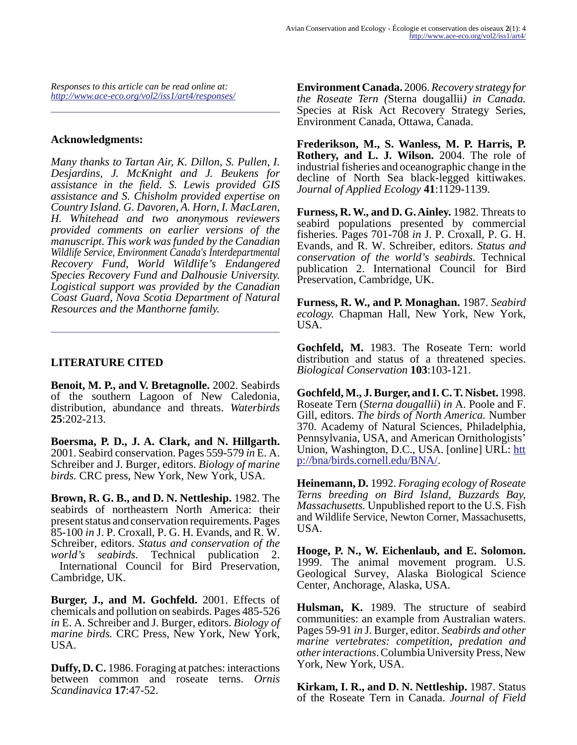*Responses to this article can be read online at: <http://www.ace-eco.org/vol2/iss1/art4/responses/>*

#### **Acknowledgments:**

*Many thanks to Tartan Air, K. Dillon, S. Pullen, I. Desjardins, J. McKnight and J. Beukens for assistance in the field. S. Lewis provided GIS assistance and S. Chisholm provided expertise on Country Island. G. Davoren, A. Horn, I. MacLaren, H. Whitehead and two anonymous reviewers provided comments on earlier versions of the manuscript. This work was funded by the Canadian Wildlife Service, Environment Canada's Interdepartmental Recovery Fund, World Wildlife's Endangered Species Recovery Fund and Dalhousie University. Logistical support was provided by the Canadian Coast Guard, Nova Scotia Department of Natural Resources and the Manthorne family.*

## **LITERATURE CITED**

**Benoit, M. P., and V. Bretagnolle.** 2002. Seabirds of the southern Lagoon of New Caledonia, distribution, abundance and threats. *Waterbirds* **25**:202-213.

**Boersma, P. D., J. A. Clark, and N. Hillgarth.** 2001. Seabird conservation. Pages 559-579 *in* E. A. Schreiber and J. Burger, editors. *Biology of marine birds.* CRC press, New York, New York, USA.

**Brown, R. G. B., and D. N. Nettleship.** 1982. The seabirds of northeastern North America: their present status and conservation requirements. Pages 85-100 *in* J. P. Croxall, P. G. H. Evands, and R. W. Schreiber, editors. *Status and conservation of the world's seabirds.* Technical publication 2. International Council for Bird Preservation,

Cambridge, UK.

**Burger, J., and M. Gochfeld.** 2001. Effects of chemicals and pollution on seabirds. Pages 485-526 *in* E. A. Schreiber and J. Burger, editors. *Biology of marine birds.* CRC Press, New York, New York, USA.

**Duffy, D. C.** 1986. Foraging at patches: interactions between common and roseate terns. *Ornis Scandinavica* **17**:47-52.

**Environment Canada.** 2006. *Recovery strategy for the Roseate Tern (*Sterna dougallii*) in Canada.* Species at Risk Act Recovery Strategy Series, Environment Canada, Ottawa, Canada.

**Frederikson, M., S. Wanless, M. P. Harris, P. Rothery, and L. J. Wilson.** 2004. The role of industrial fisheries and oceanographic change in the decline of North Sea black-legged kittiwakes. *Journal of Applied Ecology* **41**:1129-1139.

**Furness, R. W., and D. G. Ainley.** 1982. Threats to seabird populations presented by commercial fisheries. Pages 701-708 *in* J. P. Croxall, P. G. H. Evands, and R. W. Schreiber, editors. *Status and conservation of the world's seabirds.* Technical publication 2. International Council for Bird Preservation, Cambridge, UK.

**Furness, R. W., and P. Monaghan.** 1987. *Seabird ecology.* Chapman Hall, New York, New York, USA.

**Gochfeld, M.** 1983. The Roseate Tern: world distribution and status of a threatened species. *Biological Conservation* **103**:103-121.

**Gochfeld, M., J. Burger, and I. C. T. Nisbet.** 1998. Roseate Tern (*Sterna dougallii*) *in* A. Poole and F. Gill, editors. *The birds of North America.* Number 370. Academy of Natural Sciences, Philadelphia, Pennsylvania, USA, and American Ornithologists' Union, Washington, D.C., USA. [online] URL: [htt](http://bna/birds.cornell.edu/BNA/) [p://bna/birds.cornell.edu/BNA/](http://bna/birds.cornell.edu/BNA/).

**Heinemann, D.** 1992. *Foraging ecology of Roseate Terns breeding on Bird Island, Buzzards Bay, Massachusetts.* Unpublished report to the U.S. Fish and Wildlife Service, Newton Corner, Massachusetts, USA.

**Hooge, P. N., W. Eichenlaub, and E. Solomon.** 1999. The animal movement program. U.S. Geological Survey, Alaska Biological Science Center, Anchorage, Alaska, USA.

**Hulsman, K.** 1989. The structure of seabird communities: an example from Australian waters. Pages 59-91 *in* J. Burger, editor. *Seabirds and other marine vertebrates: competition, predation and other interactions*. Columbia University Press, New York, New York, USA.

**Kirkam, I. R., and D. N. Nettleship.** 1987. Status of the Roseate Tern in Canada. *Journal of Field*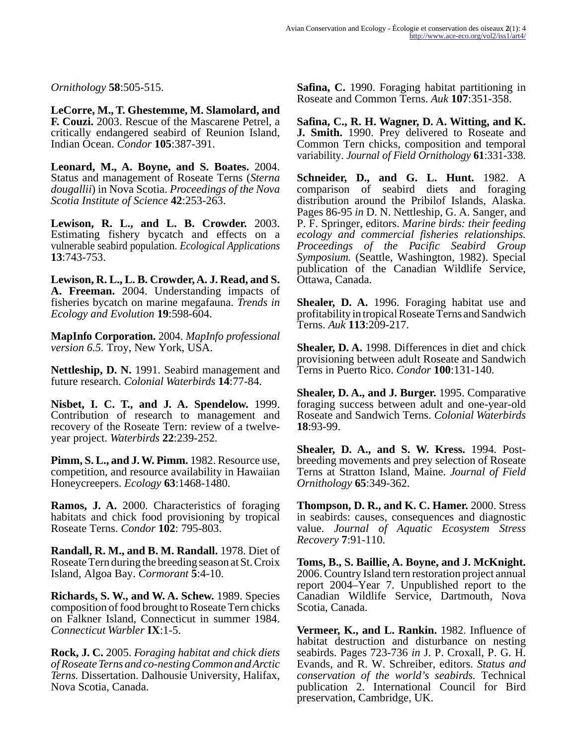*Ornithology* **58**:505-515.

**LeCorre, M., T. Ghestemme, M. Slamolard, and F. Couzi.** 2003. Rescue of the Mascarene Petrel, a critically endangered seabird of Reunion Island, Indian Ocean. *Condor* **105**:387-391.

**Leonard, M., A. Boyne, and S. Boates.** 2004. Status and management of Roseate Terns (*Sterna dougallii*) in Nova Scotia. *Proceedings of the Nova Scotia Institute of Science* **42**:253-263.

**Lewison, R. L., and L. B. Crowder.** 2003. Estimating fishery bycatch and effects on a vulnerable seabird population. *Ecological Applications* **13**:743-753.

**Lewison, R. L., L. B. Crowder, A. J. Read, and S. A. Freeman.** 2004. Understanding impacts of fisheries bycatch on marine megafauna. *Trends in Ecology and Evolution* **19**:598-604.

**MapInfo Corporation.** 2004. *MapInfo professional version 6.5.* Troy, New York, USA.

**Nettleship, D. N.** 1991. Seabird management and future research. *Colonial Waterbirds* **14**:77-84.

**Nisbet, I. C. T., and J. A. Spendelow.** 1999. Contribution of research to management and recovery of the Roseate Tern: review of a twelveyear project. *Waterbirds* **22**:239-252.

**Pimm, S. L., and J. W. Pimm.** 1982. Resource use, competition, and resource availability in Hawaiian Honeycreepers. *Ecology* **63**:1468-1480.

**Ramos, J. A.** 2000. Characteristics of foraging habitats and chick food provisioning by tropical Roseate Terns. *Condor* **102**: 795-803.

**Randall, R. M., and B. M. Randall.** 1978. Diet of Roseate Tern during the breeding season at St. Croix Island, Algoa Bay. *Cormorant* **5**:4-10.

**Richards, S. W., and W. A. Schew.** 1989. Species composition of food brought to Roseate Tern chicks on Falkner Island, Connecticut in summer 1984. *Connecticut Warbler* **IX**:1-5.

**Rock, J. C.** 2005. *Foraging habitat and chick diets of Roseate Terns and co-nesting Common and Arctic Terns.* Dissertation. Dalhousie University, Halifax, Nova Scotia, Canada.

**Safina, C.** 1990. Foraging habitat partitioning in Roseate and Common Terns. *Auk* **107**:351-358.

**Safina, C., R. H. Wagner, D. A. Witting, and K. J. Smith.** 1990. Prey delivered to Roseate and Common Tern chicks, composition and temporal variability. *Journal of Field Ornithology* **61**:331-338.

**Schneider, D., and G. L. Hunt.** 1982. A comparison of seabird diets and foraging distribution around the Pribilof Islands, Alaska. Pages 86-95 *in* D. N. Nettleship, G. A. Sanger, and P. F. Springer, editors. *Marine birds: their feeding ecology and commercial fisheries relationships. Proceedings of the Pacific Seabird Group Symposium.* (Seattle, Washington, 1982). Special publication of the Canadian Wildlife Service, Ottawa, Canada.

**Shealer, D. A.** 1996. Foraging habitat use and profitability in tropical Roseate Terns and Sandwich Terns. *Auk* **113**:209-217.

**Shealer, D. A.** 1998. Differences in diet and chick provisioning between adult Roseate and Sandwich Terns in Puerto Rico. *Condor* **100**:131-140.

**Shealer, D. A., and J. Burger.** 1995. Comparative foraging success between adult and one-year-old Roseate and Sandwich Terns. *Colonial Waterbirds* **18**:93-99.

**Shealer, D. A., and S. W. Kress.** 1994. Postbreeding movements and prey selection of Roseate Terns at Stratton Island, Maine. *Journal of Field Ornithology* **65**:349-362.

**Thompson, D. R., and K. C. Hamer.** 2000. Stress in seabirds: causes, consequences and diagnostic value. *Journal of Aquatic Ecosystem Stress Recovery* **7**:91-110.

**Toms, B., S. Baillie, A. Boyne, and J. McKnight.** 2006. Country Island tern restoration project annual report 2004–Year 7. Unpublished report to the Canadian Wildlife Service, Dartmouth, Nova Scotia, Canada.

**Vermeer, K., and L. Rankin.** 1982. Influence of habitat destruction and disturbance on nesting seabirds. Pages 723-736 *in* J. P. Croxall, P. G. H. Evands, and R. W. Schreiber, editors. *Status and conservation of the world's seabirds.* Technical publication 2. International Council for Bird preservation, Cambridge, UK.